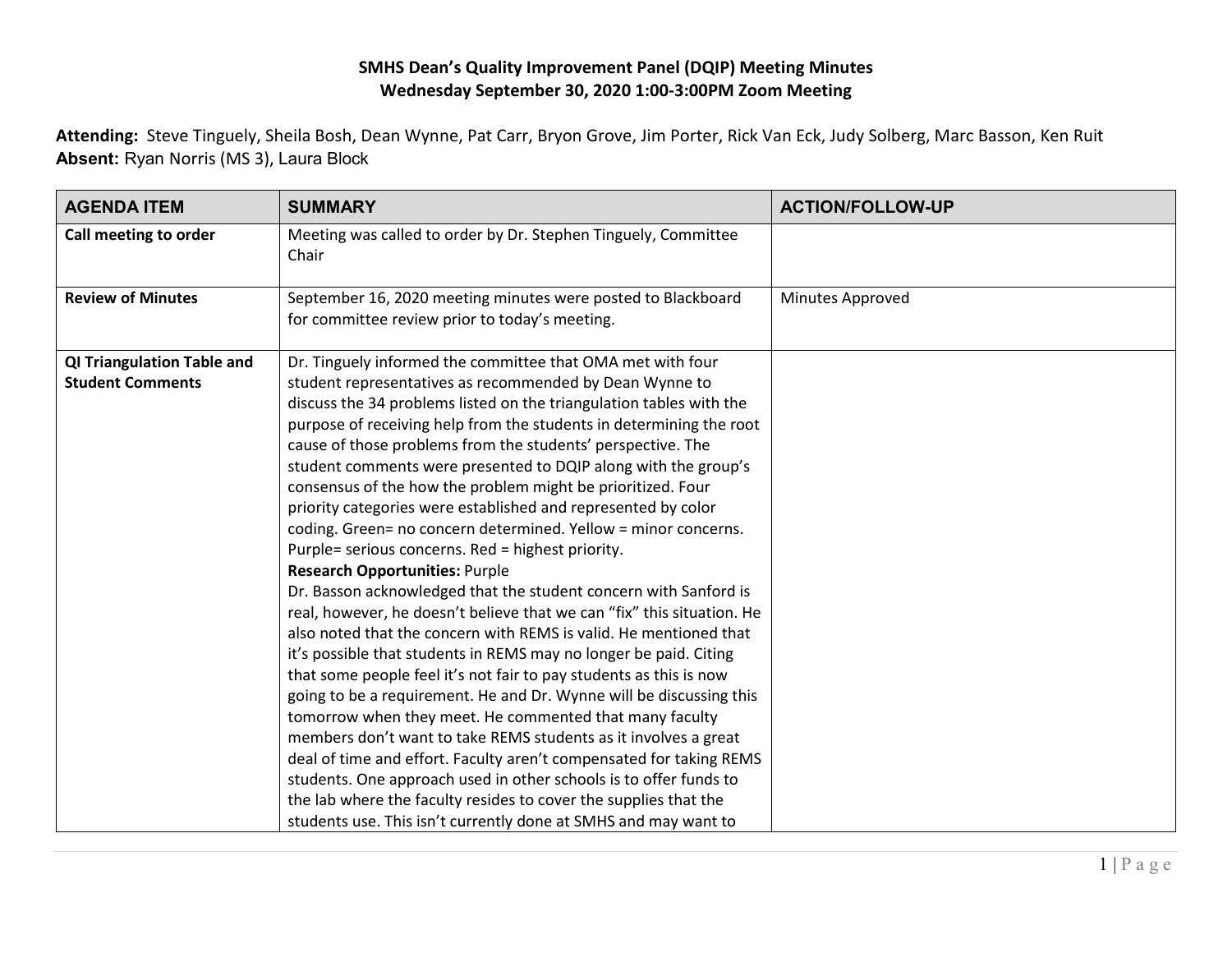## **SMHS Dean's Quality Improvement Panel (DQIP) Meeting Minutes Wednesday September 30, 2020 1:00-3:00PM Zoom Meeting**

**Attending:** Steve Tinguely, Sheila Bosh, Dean Wynne, Pat Carr, Bryon Grove, Jim Porter, Rick Van Eck, Judy Solberg, Marc Basson, Ken Ruit **Absent:** Ryan Norris (MS 3), Laura Block

| <b>AGENDA ITEM</b>                | <b>SUMMARY</b>                                                                                                                              | <b>ACTION/FOLLOW-UP</b> |
|-----------------------------------|---------------------------------------------------------------------------------------------------------------------------------------------|-------------------------|
| Call meeting to order             | Meeting was called to order by Dr. Stephen Tinguely, Committee<br>Chair                                                                     |                         |
| <b>Review of Minutes</b>          | September 16, 2020 meeting minutes were posted to Blackboard<br>for committee review prior to today's meeting.                              | Minutes Approved        |
| <b>QI Triangulation Table and</b> | Dr. Tinguely informed the committee that OMA met with four                                                                                  |                         |
| <b>Student Comments</b>           | student representatives as recommended by Dean Wynne to                                                                                     |                         |
|                                   | discuss the 34 problems listed on the triangulation tables with the                                                                         |                         |
|                                   | purpose of receiving help from the students in determining the root                                                                         |                         |
|                                   | cause of those problems from the students' perspective. The                                                                                 |                         |
|                                   | student comments were presented to DQIP along with the group's                                                                              |                         |
|                                   | consensus of the how the problem might be prioritized. Four                                                                                 |                         |
|                                   | priority categories were established and represented by color                                                                               |                         |
|                                   | coding. Green= no concern determined. Yellow = minor concerns.                                                                              |                         |
|                                   | Purple= serious concerns. Red = highest priority.                                                                                           |                         |
|                                   | <b>Research Opportunities: Purple</b>                                                                                                       |                         |
|                                   | Dr. Basson acknowledged that the student concern with Sanford is                                                                            |                         |
|                                   | real, however, he doesn't believe that we can "fix" this situation. He<br>also noted that the concern with REMS is valid. He mentioned that |                         |
|                                   | it's possible that students in REMS may no longer be paid. Citing                                                                           |                         |
|                                   | that some people feel it's not fair to pay students as this is now                                                                          |                         |
|                                   | going to be a requirement. He and Dr. Wynne will be discussing this                                                                         |                         |
|                                   | tomorrow when they meet. He commented that many faculty                                                                                     |                         |
|                                   | members don't want to take REMS students as it involves a great                                                                             |                         |
|                                   | deal of time and effort. Faculty aren't compensated for taking REMS                                                                         |                         |
|                                   | students. One approach used in other schools is to offer funds to                                                                           |                         |
|                                   | the lab where the faculty resides to cover the supplies that the                                                                            |                         |
|                                   | students use. This isn't currently done at SMHS and may want to                                                                             |                         |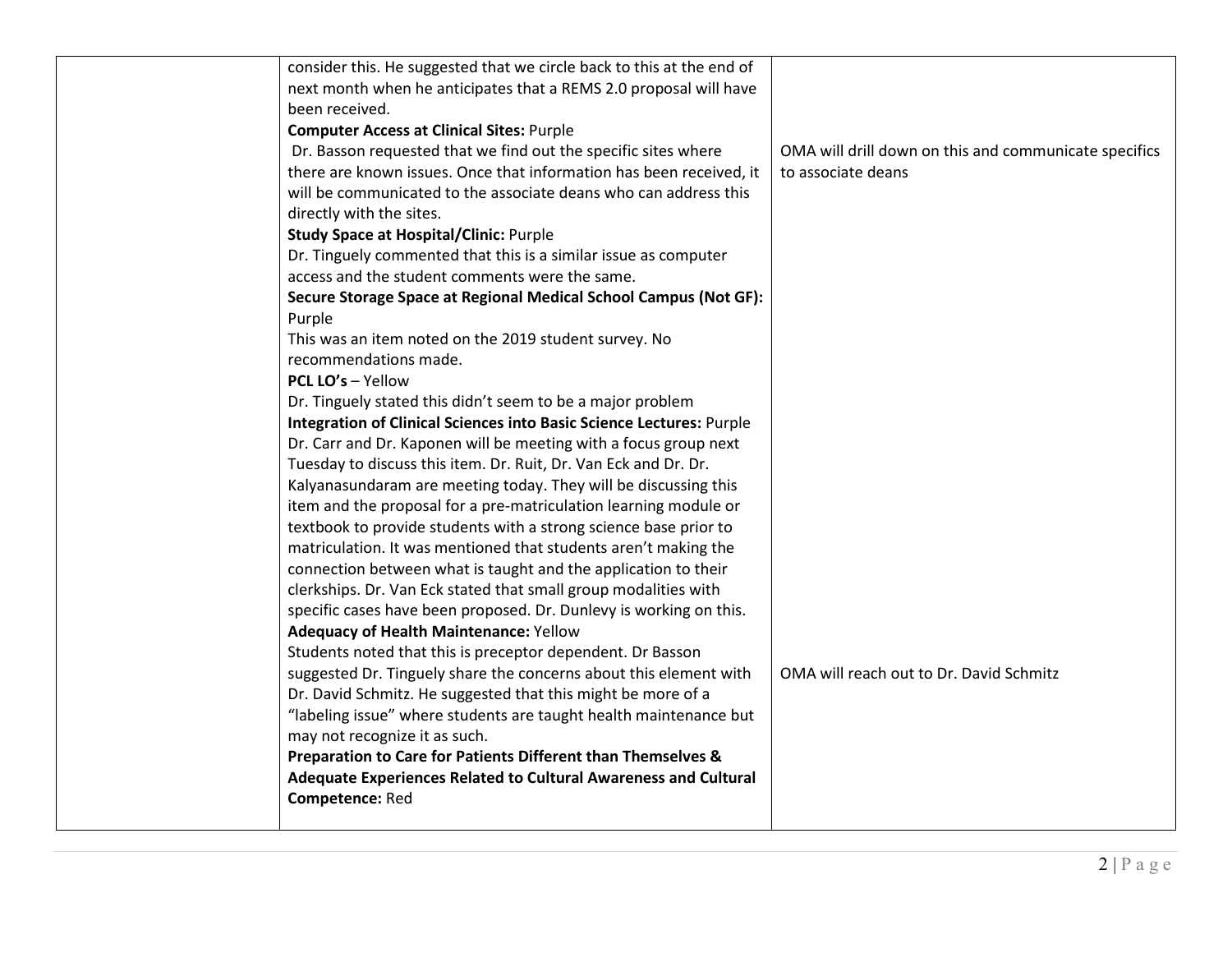| consider this. He suggested that we circle back to this at the end of                                                                |                                                       |
|--------------------------------------------------------------------------------------------------------------------------------------|-------------------------------------------------------|
| next month when he anticipates that a REMS 2.0 proposal will have                                                                    |                                                       |
| been received.                                                                                                                       |                                                       |
| <b>Computer Access at Clinical Sites: Purple</b>                                                                                     |                                                       |
| Dr. Basson requested that we find out the specific sites where                                                                       | OMA will drill down on this and communicate specifics |
| there are known issues. Once that information has been received, it                                                                  | to associate deans                                    |
| will be communicated to the associate deans who can address this                                                                     |                                                       |
| directly with the sites.                                                                                                             |                                                       |
| <b>Study Space at Hospital/Clinic: Purple</b>                                                                                        |                                                       |
| Dr. Tinguely commented that this is a similar issue as computer                                                                      |                                                       |
| access and the student comments were the same.                                                                                       |                                                       |
| Secure Storage Space at Regional Medical School Campus (Not GF):                                                                     |                                                       |
| Purple                                                                                                                               |                                                       |
| This was an item noted on the 2019 student survey. No                                                                                |                                                       |
| recommendations made.                                                                                                                |                                                       |
| <b>PCL LO's - Yellow</b>                                                                                                             |                                                       |
| Dr. Tinguely stated this didn't seem to be a major problem                                                                           |                                                       |
| Integration of Clinical Sciences into Basic Science Lectures: Purple                                                                 |                                                       |
| Dr. Carr and Dr. Kaponen will be meeting with a focus group next                                                                     |                                                       |
| Tuesday to discuss this item. Dr. Ruit, Dr. Van Eck and Dr. Dr.                                                                      |                                                       |
| Kalyanasundaram are meeting today. They will be discussing this                                                                      |                                                       |
| item and the proposal for a pre-matriculation learning module or<br>textbook to provide students with a strong science base prior to |                                                       |
| matriculation. It was mentioned that students aren't making the                                                                      |                                                       |
| connection between what is taught and the application to their                                                                       |                                                       |
| clerkships. Dr. Van Eck stated that small group modalities with                                                                      |                                                       |
| specific cases have been proposed. Dr. Dunlevy is working on this.                                                                   |                                                       |
| <b>Adequacy of Health Maintenance: Yellow</b>                                                                                        |                                                       |
| Students noted that this is preceptor dependent. Dr Basson                                                                           |                                                       |
| suggested Dr. Tinguely share the concerns about this element with                                                                    | OMA will reach out to Dr. David Schmitz               |
| Dr. David Schmitz. He suggested that this might be more of a                                                                         |                                                       |
| "labeling issue" where students are taught health maintenance but                                                                    |                                                       |
| may not recognize it as such.                                                                                                        |                                                       |
| Preparation to Care for Patients Different than Themselves &                                                                         |                                                       |
| Adequate Experiences Related to Cultural Awareness and Cultural                                                                      |                                                       |
| Competence: Red                                                                                                                      |                                                       |
|                                                                                                                                      |                                                       |
|                                                                                                                                      |                                                       |